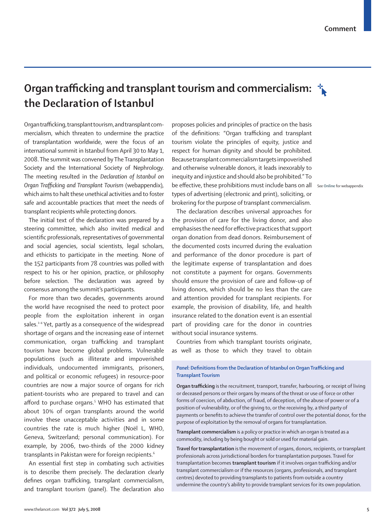# **Organ trafficking and transplant tourism and commercialism: the Declaration of Istanbul**

Organ trafficking, transplant tourism, and transplant commercialism, which threaten to undermine the practice of transplantation worldwide, were the focus of an international summit in Istanbul from April 30 to May 1, 2008. The summit was convened by The Transplantation Society and the International Society of Nephrology. The meeting resulted in the *Declaration of Istanbul on Organ Trafficking and Transplant Tourism* (webappendix)*,* which aims to halt these unethical activities and to foster safe and accountable practices that meet the needs of transplant recipients while protecting donors.

The initial text of the declaration was prepared by a steering committee, which also invited medical and scientific professionals, representatives of governmental and social agencies, social scientists, legal scholars, and ethicists to participate in the meeting. None of the 152 participants from 78 countries was polled with respect to his or her opinion, practice, or philosophy before selection. The declaration was agreed by consensus among the summit's participants.

For more than two decades, governments around the world have recognised the need to protect poor people from the exploitation inherent in organ sales.<sup>1-4</sup> Yet, partly as a consequence of the widespread shortage of organs and the increasing ease of internet communication, organ trafficking and transplant tourism have become global problems. Vulnerable populations (such as illiterate and impoverished individuals, undocumented immigrants, prisoners, and political or economic refugees) in resource-poor countries are now a major source of organs for rich patient-tourists who are prepared to travel and can afford to purchase organs.5 WHO has estimated that about 10% of organ transplants around the world involve these unacceptable activities and in some countries the rate is much higher (Noël L, WHO, Geneva, Switzerland; personal communication). For example, by 2006, two-thirds of the 2000 kidney transplants in Pakistan were for foreign recipients.<sup>6</sup>

An essential first step in combating such activities is to describe them precisely. The declaration clearly defines organ trafficking, transplant commercialism, and transplant tourism (panel). The declaration also proposes policies and principles of practice on the basis of the definitions: "Organ trafficking and transplant tourism violate the principles of equity, justice and respect for human dignity and should be prohibited. Because transplant commercialism targets impoverished and otherwise vulnerable donors, it leads inexorably to inequity and injustice and should also be prohibited." To be effective, these prohibitions must include bans on all See **Online** for webappendixtypes of advertising (electronic and print), soliciting, or brokering for the purpose of transplant commercialism.

The declaration describes universal approaches for the provision of care for the living donor, and also emphasises the need for effective practices that support organ donation from dead donors. Reimbursement of the documented costs incurred during the evaluation and performance of the donor procedure is part of the legitimate expense of transplantation and does not constitute a payment for organs. Governments should ensure the provision of care and follow-up of living donors, which should be no less than the care and attention provided for transplant recipients. For example, the provision of disability, life, and health insurance related to the donation event is an essential part of providing care for the donor in countries without social insurance systems.

Countries from which transplant tourists originate, as well as those to which they travel to obtain

#### *Panel:* **Definitions from the Declaration of Istanbul on Organ Trafficking and Transplant Tourism**

**Organ trafficking** is the recruitment, transport, transfer, harbouring, or receipt of living or deceased persons or their organs by means of the threat or use of force or other forms of coercion, of abduction, of fraud, of deception, of the abuse of power or of a position of vulnerability, or of the giving to, or the receiving by, a third party of payments or benefits to achieve the transfer of control over the potential donor, for the purpose of exploitation by the removal of organs for transplantation.

**Transplant commercialism** is a policy or practice in which an organ is treated as a commodity, including by being bought or sold or used for material gain.

**Travel for transplantation** is the movement of organs, donors, recipients, or transplant professionals across jurisdictional borders for transplantation purposes. Travel for transplantation becomes **transplant tourism** if it involves organ trafficking and/or transplant commercialism or if the resources (organs, professionals, and transplant centres) devoted to providing transplants to patients from outside a country undermine the country's ability to provide transplant services for its own population.